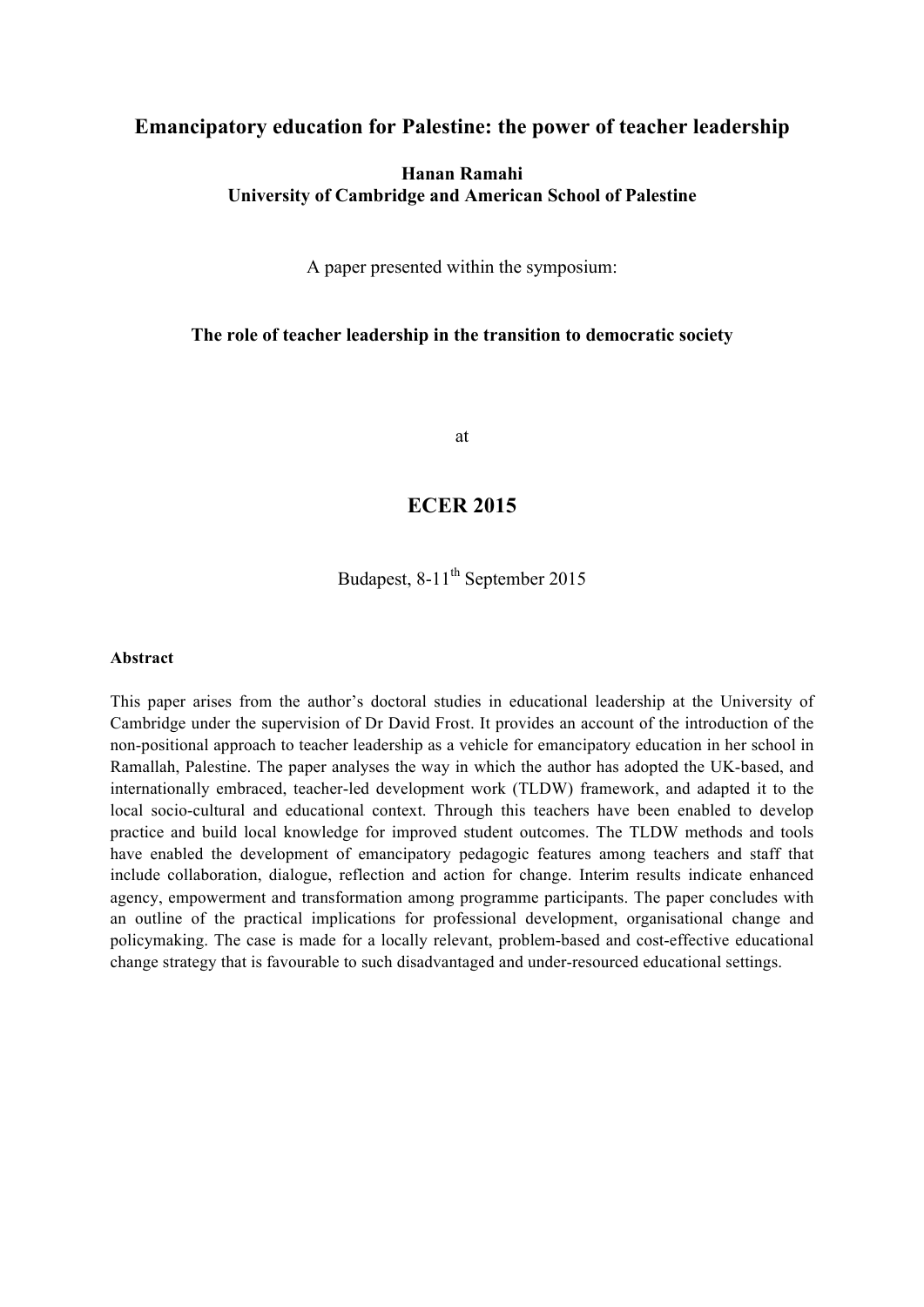#### **Emancipatory education for Palestine: the power of teacher leadership**

#### **Hanan Ramahi University of Cambridge and American School of Palestine**

A paper presented within the symposium:

#### **The role of teacher leadership in the transition to democratic society**

at

## **ECER 2015**

Budapest,  $8-11^{th}$  September 2015

#### **Abstract**

This paper arises from the author's doctoral studies in educational leadership at the University of Cambridge under the supervision of Dr David Frost. It provides an account of the introduction of the non-positional approach to teacher leadership as a vehicle for emancipatory education in her school in Ramallah, Palestine. The paper analyses the way in which the author has adopted the UK-based, and internationally embraced, teacher-led development work (TLDW) framework, and adapted it to the local socio-cultural and educational context. Through this teachers have been enabled to develop practice and build local knowledge for improved student outcomes. The TLDW methods and tools have enabled the development of emancipatory pedagogic features among teachers and staff that include collaboration, dialogue, reflection and action for change. Interim results indicate enhanced agency, empowerment and transformation among programme participants. The paper concludes with an outline of the practical implications for professional development, organisational change and policymaking. The case is made for a locally relevant, problem-based and cost-effective educational change strategy that is favourable to such disadvantaged and under-resourced educational settings.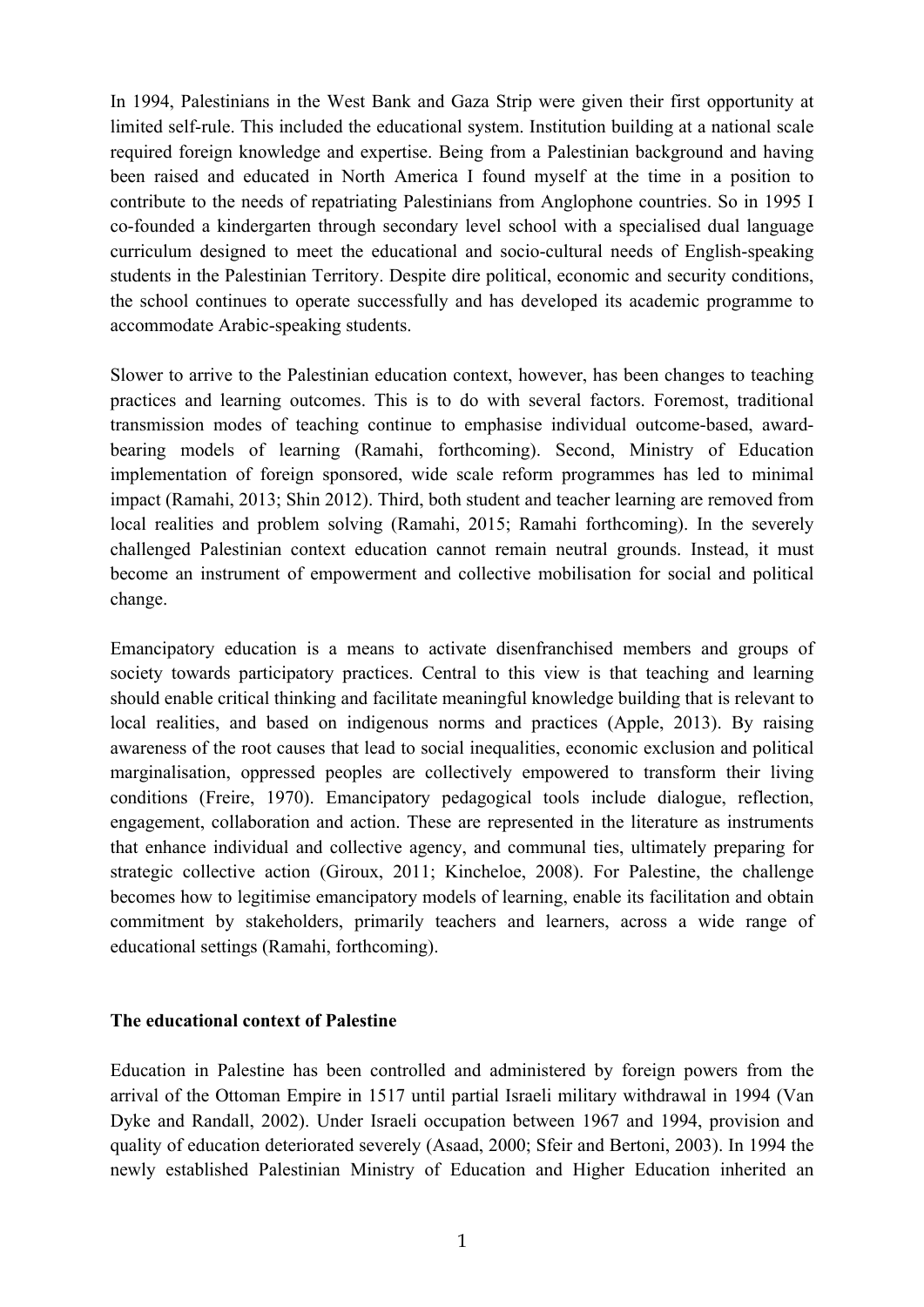In 1994, Palestinians in the West Bank and Gaza Strip were given their first opportunity at limited self-rule. This included the educational system. Institution building at a national scale required foreign knowledge and expertise. Being from a Palestinian background and having been raised and educated in North America I found myself at the time in a position to contribute to the needs of repatriating Palestinians from Anglophone countries. So in 1995 I co-founded a kindergarten through secondary level school with a specialised dual language curriculum designed to meet the educational and socio-cultural needs of English-speaking students in the Palestinian Territory. Despite dire political, economic and security conditions, the school continues to operate successfully and has developed its academic programme to accommodate Arabic-speaking students.

Slower to arrive to the Palestinian education context, however, has been changes to teaching practices and learning outcomes. This is to do with several factors. Foremost, traditional transmission modes of teaching continue to emphasise individual outcome-based, awardbearing models of learning (Ramahi, forthcoming). Second, Ministry of Education implementation of foreign sponsored, wide scale reform programmes has led to minimal impact (Ramahi, 2013; Shin 2012). Third, both student and teacher learning are removed from local realities and problem solving (Ramahi, 2015; Ramahi forthcoming). In the severely challenged Palestinian context education cannot remain neutral grounds. Instead, it must become an instrument of empowerment and collective mobilisation for social and political change.

Emancipatory education is a means to activate disenfranchised members and groups of society towards participatory practices. Central to this view is that teaching and learning should enable critical thinking and facilitate meaningful knowledge building that is relevant to local realities, and based on indigenous norms and practices (Apple, 2013). By raising awareness of the root causes that lead to social inequalities, economic exclusion and political marginalisation, oppressed peoples are collectively empowered to transform their living conditions (Freire, 1970). Emancipatory pedagogical tools include dialogue, reflection, engagement, collaboration and action. These are represented in the literature as instruments that enhance individual and collective agency, and communal ties, ultimately preparing for strategic collective action (Giroux, 2011; Kincheloe, 2008). For Palestine, the challenge becomes how to legitimise emancipatory models of learning, enable its facilitation and obtain commitment by stakeholders, primarily teachers and learners, across a wide range of educational settings (Ramahi, forthcoming).

#### **The educational context of Palestine**

Education in Palestine has been controlled and administered by foreign powers from the arrival of the Ottoman Empire in 1517 until partial Israeli military withdrawal in 1994 (Van Dyke and Randall, 2002). Under Israeli occupation between 1967 and 1994, provision and quality of education deteriorated severely (Asaad, 2000; Sfeir and Bertoni, 2003). In 1994 the newly established Palestinian Ministry of Education and Higher Education inherited an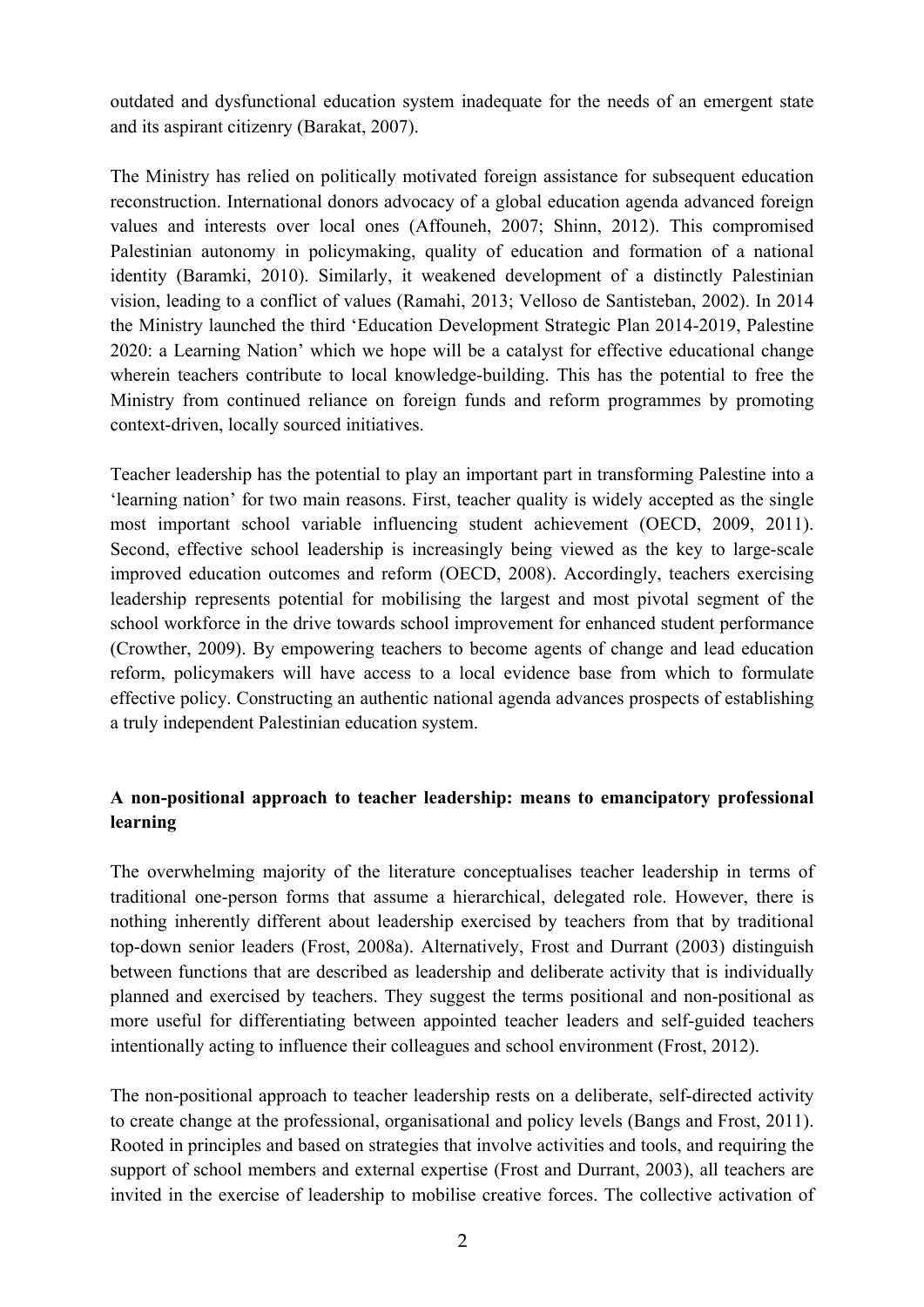outdated and dysfunctional education system inadequate for the needs of an emergent state and its aspirant citizenry (Barakat, 2007).

The Ministry has relied on politically motivated foreign assistance for subsequent education reconstruction. International donors advocacy of a global education agenda advanced foreign values and interests over local ones (Affouneh, 2007; Shinn, 2012). This compromised Palestinian autonomy in policymaking, quality of education and formation of a national identity (Baramki, 2010). Similarly, it weakened development of a distinctly Palestinian vision, leading to a conflict of values (Ramahi, 2013; Velloso de Santisteban, 2002). In 2014 the Ministry launched the third 'Education Development Strategic Plan 2014-2019, Palestine 2020: a Learning Nation' which we hope will be a catalyst for effective educational change wherein teachers contribute to local knowledge-building. This has the potential to free the Ministry from continued reliance on foreign funds and reform programmes by promoting context-driven, locally sourced initiatives.

Teacher leadership has the potential to play an important part in transforming Palestine into a 'learning nation' for two main reasons. First, teacher quality is widely accepted as the single most important school variable influencing student achievement (OECD, 2009, 2011). Second, effective school leadership is increasingly being viewed as the key to large-scale improved education outcomes and reform (OECD, 2008). Accordingly, teachers exercising leadership represents potential for mobilising the largest and most pivotal segment of the school workforce in the drive towards school improvement for enhanced student performance (Crowther, 2009). By empowering teachers to become agents of change and lead education reform, policymakers will have access to a local evidence base from which to formulate effective policy. Constructing an authentic national agenda advances prospects of establishing a truly independent Palestinian education system.

## **A non-positional approach to teacher leadership: means to emancipatory professional learning**

The overwhelming majority of the literature conceptualises teacher leadership in terms of traditional one-person forms that assume a hierarchical, delegated role. However, there is nothing inherently different about leadership exercised by teachers from that by traditional top-down senior leaders (Frost, 2008a). Alternatively, Frost and Durrant (2003) distinguish between functions that are described as leadership and deliberate activity that is individually planned and exercised by teachers. They suggest the terms positional and non-positional as more useful for differentiating between appointed teacher leaders and self-guided teachers intentionally acting to influence their colleagues and school environment (Frost, 2012).

The non-positional approach to teacher leadership rests on a deliberate, self-directed activity to create change at the professional, organisational and policy levels (Bangs and Frost, 2011). Rooted in principles and based on strategies that involve activities and tools, and requiring the support of school members and external expertise (Frost and Durrant, 2003), all teachers are invited in the exercise of leadership to mobilise creative forces. The collective activation of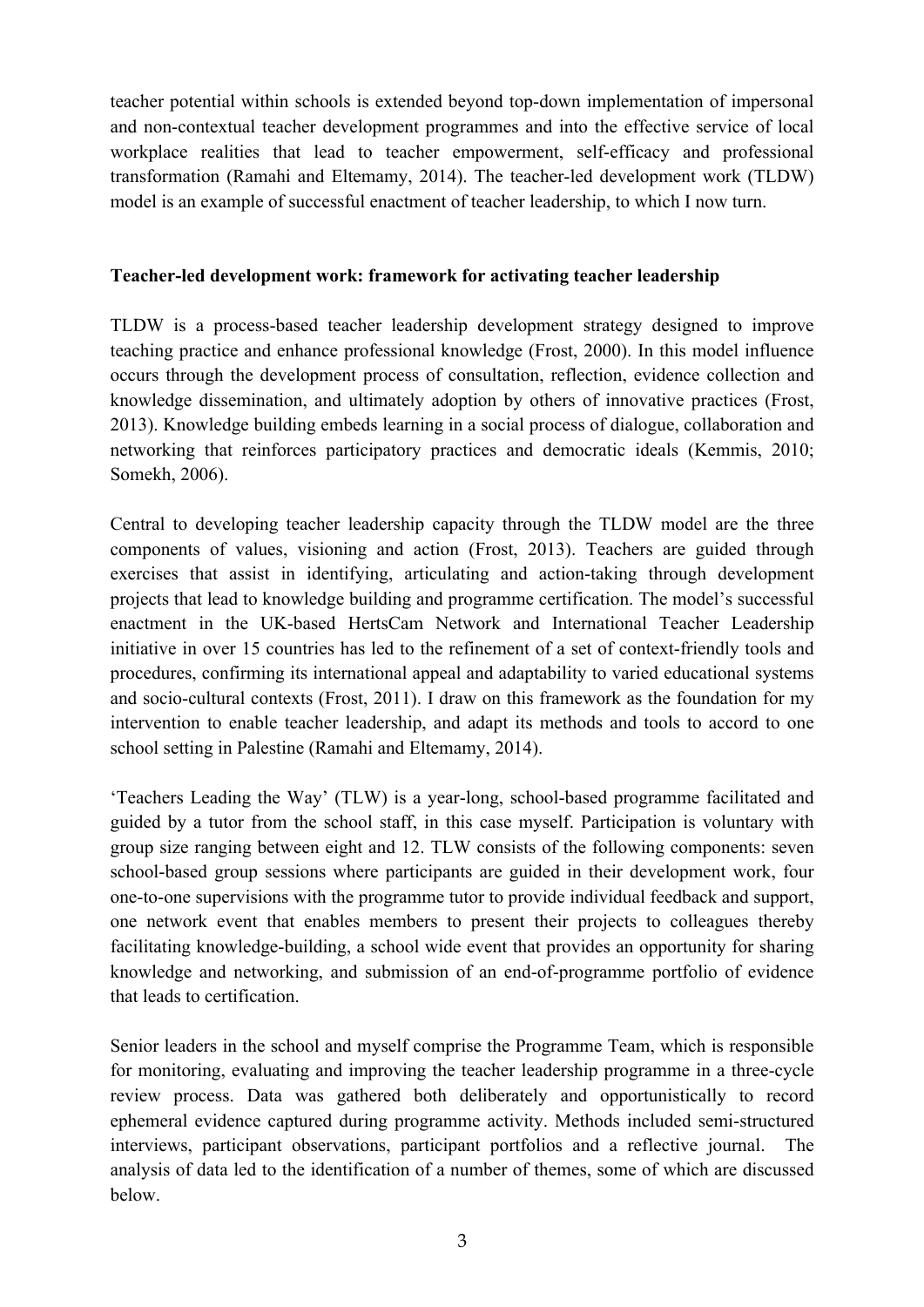teacher potential within schools is extended beyond top-down implementation of impersonal and non-contextual teacher development programmes and into the effective service of local workplace realities that lead to teacher empowerment, self-efficacy and professional transformation (Ramahi and Eltemamy, 2014). The teacher-led development work (TLDW) model is an example of successful enactment of teacher leadership, to which I now turn.

### **Teacher-led development work: framework for activating teacher leadership**

TLDW is a process-based teacher leadership development strategy designed to improve teaching practice and enhance professional knowledge (Frost, 2000). In this model influence occurs through the development process of consultation, reflection, evidence collection and knowledge dissemination, and ultimately adoption by others of innovative practices (Frost, 2013). Knowledge building embeds learning in a social process of dialogue, collaboration and networking that reinforces participatory practices and democratic ideals (Kemmis, 2010; Somekh, 2006).

Central to developing teacher leadership capacity through the TLDW model are the three components of values, visioning and action (Frost, 2013). Teachers are guided through exercises that assist in identifying, articulating and action-taking through development projects that lead to knowledge building and programme certification. The model's successful enactment in the UK-based HertsCam Network and International Teacher Leadership initiative in over 15 countries has led to the refinement of a set of context-friendly tools and procedures, confirming its international appeal and adaptability to varied educational systems and socio-cultural contexts (Frost, 2011). I draw on this framework as the foundation for my intervention to enable teacher leadership, and adapt its methods and tools to accord to one school setting in Palestine (Ramahi and Eltemamy, 2014).

'Teachers Leading the Way' (TLW) is a year-long, school-based programme facilitated and guided by a tutor from the school staff, in this case myself. Participation is voluntary with group size ranging between eight and 12. TLW consists of the following components: seven school-based group sessions where participants are guided in their development work, four one-to-one supervisions with the programme tutor to provide individual feedback and support, one network event that enables members to present their projects to colleagues thereby facilitating knowledge-building, a school wide event that provides an opportunity for sharing knowledge and networking, and submission of an end-of-programme portfolio of evidence that leads to certification.

Senior leaders in the school and myself comprise the Programme Team, which is responsible for monitoring, evaluating and improving the teacher leadership programme in a three-cycle review process. Data was gathered both deliberately and opportunistically to record ephemeral evidence captured during programme activity. Methods included semi-structured interviews, participant observations, participant portfolios and a reflective journal. The analysis of data led to the identification of a number of themes, some of which are discussed below.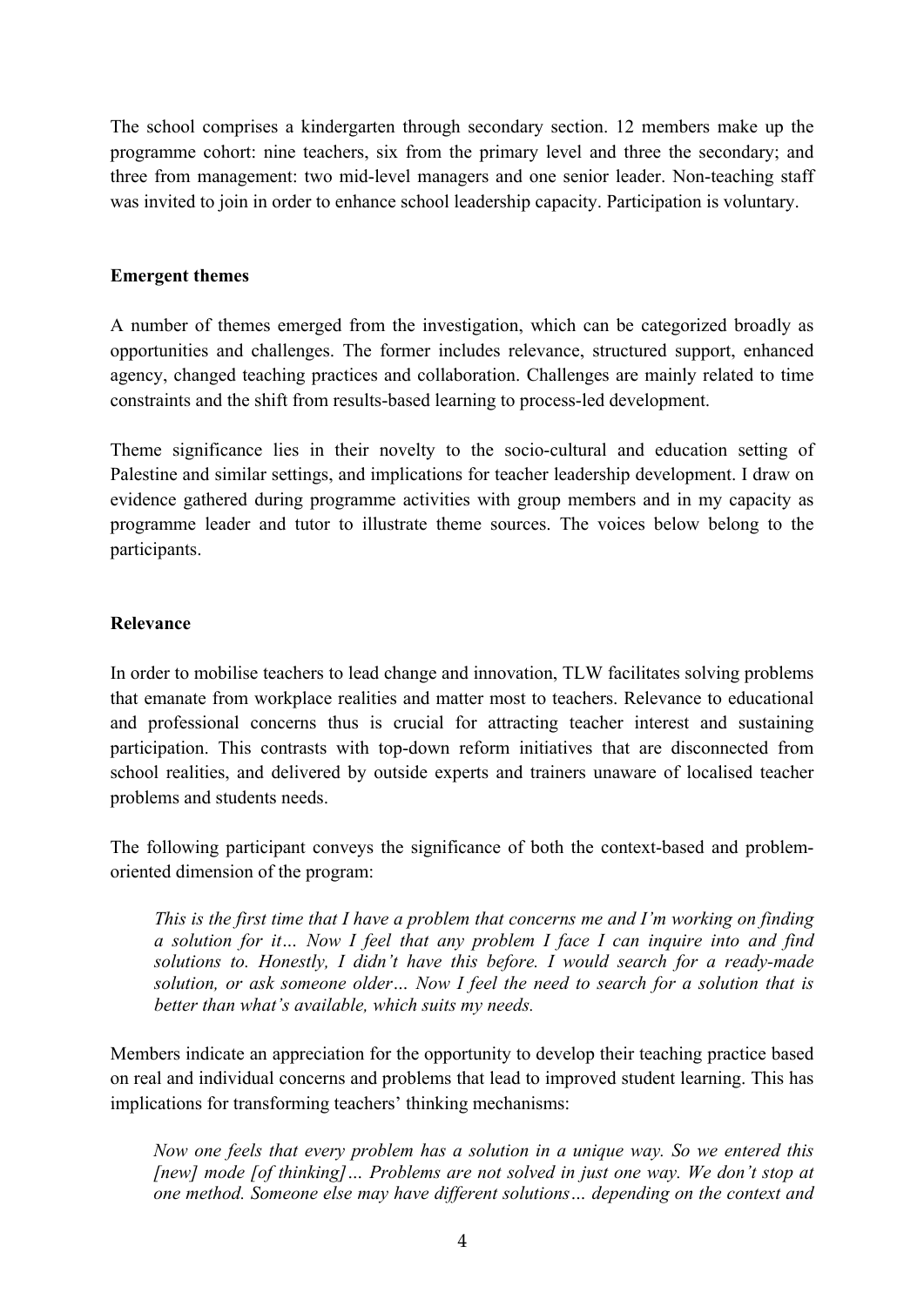The school comprises a kindergarten through secondary section. 12 members make up the programme cohort: nine teachers, six from the primary level and three the secondary; and three from management: two mid-level managers and one senior leader. Non-teaching staff was invited to join in order to enhance school leadership capacity. Participation is voluntary.

### **Emergent themes**

A number of themes emerged from the investigation, which can be categorized broadly as opportunities and challenges. The former includes relevance, structured support, enhanced agency, changed teaching practices and collaboration. Challenges are mainly related to time constraints and the shift from results-based learning to process-led development.

Theme significance lies in their novelty to the socio-cultural and education setting of Palestine and similar settings, and implications for teacher leadership development. I draw on evidence gathered during programme activities with group members and in my capacity as programme leader and tutor to illustrate theme sources. The voices below belong to the participants.

### **Relevance**

In order to mobilise teachers to lead change and innovation, TLW facilitates solving problems that emanate from workplace realities and matter most to teachers. Relevance to educational and professional concerns thus is crucial for attracting teacher interest and sustaining participation. This contrasts with top-down reform initiatives that are disconnected from school realities, and delivered by outside experts and trainers unaware of localised teacher problems and students needs.

The following participant conveys the significance of both the context-based and problemoriented dimension of the program:

*This is the first time that I have a problem that concerns me and I'm working on finding a solution for it… Now I feel that any problem I face I can inquire into and find solutions to. Honestly, I didn't have this before. I would search for a ready-made solution, or ask someone older… Now I feel the need to search for a solution that is better than what's available, which suits my needs.*

Members indicate an appreciation for the opportunity to develop their teaching practice based on real and individual concerns and problems that lead to improved student learning. This has implications for transforming teachers' thinking mechanisms:

*Now one feels that every problem has a solution in a unique way. So we entered this [new] mode [of thinking]… Problems are not solved in just one way. We don't stop at one method. Someone else may have different solutions… depending on the context and*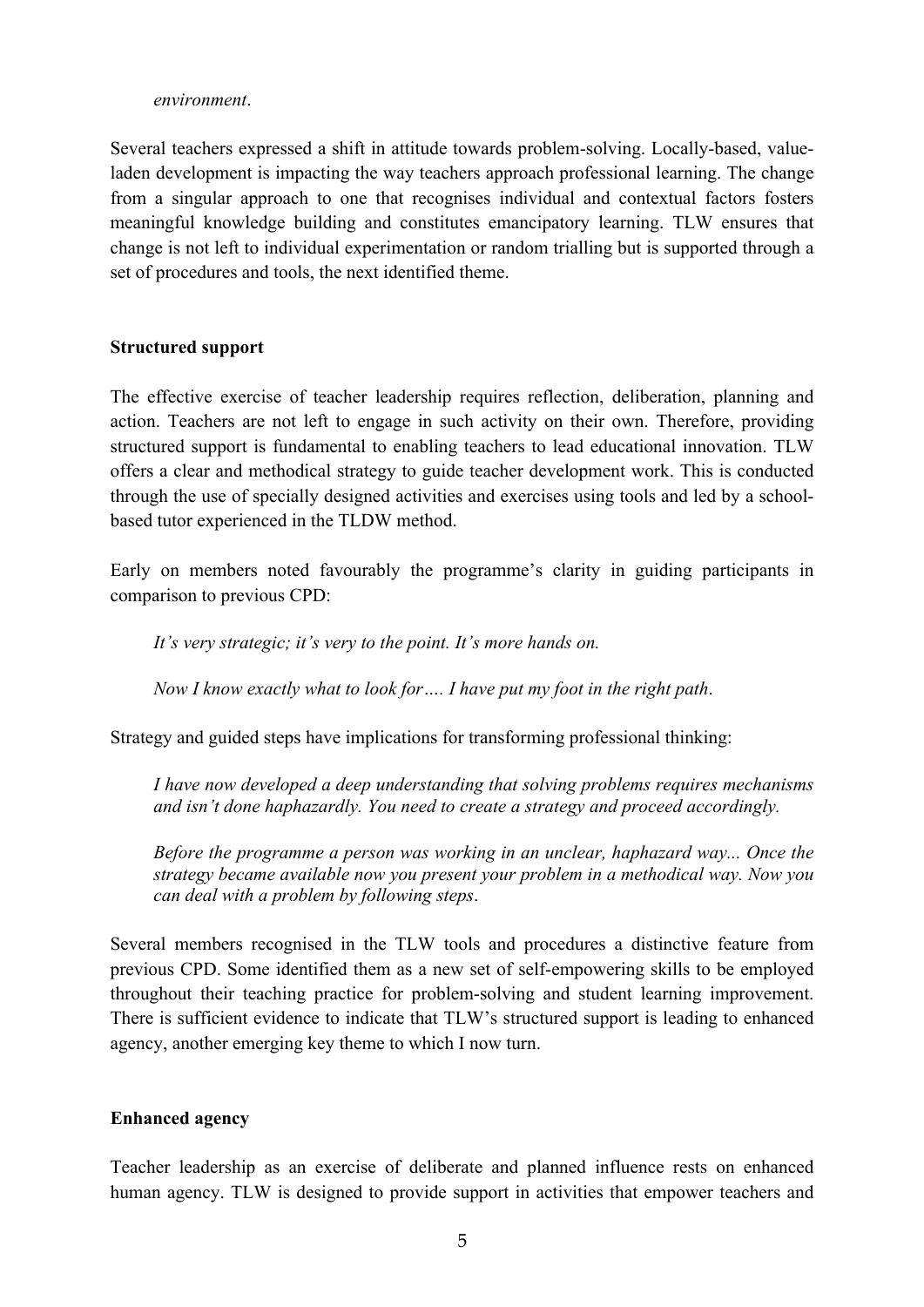#### *environment*.

Several teachers expressed a shift in attitude towards problem-solving. Locally-based, valueladen development is impacting the way teachers approach professional learning. The change from a singular approach to one that recognises individual and contextual factors fosters meaningful knowledge building and constitutes emancipatory learning. TLW ensures that change is not left to individual experimentation or random trialling but is supported through a set of procedures and tools, the next identified theme.

#### **Structured support**

The effective exercise of teacher leadership requires reflection, deliberation, planning and action. Teachers are not left to engage in such activity on their own. Therefore, providing structured support is fundamental to enabling teachers to lead educational innovation. TLW offers a clear and methodical strategy to guide teacher development work. This is conducted through the use of specially designed activities and exercises using tools and led by a schoolbased tutor experienced in the TLDW method.

Early on members noted favourably the programme's clarity in guiding participants in comparison to previous CPD:

*It's very strategic; it's very to the point. It's more hands on.*

*Now I know exactly what to look for…. I have put my foot in the right path*.

Strategy and guided steps have implications for transforming professional thinking:

*I have now developed a deep understanding that solving problems requires mechanisms and isn't done haphazardly. You need to create a strategy and proceed accordingly.*

*Before the programme a person was working in an unclear, haphazard way... Once the strategy became available now you present your problem in a methodical way. Now you can deal with a problem by following steps*.

Several members recognised in the TLW tools and procedures a distinctive feature from previous CPD. Some identified them as a new set of self-empowering skills to be employed throughout their teaching practice for problem-solving and student learning improvement. There is sufficient evidence to indicate that TLW's structured support is leading to enhanced agency, another emerging key theme to which I now turn.

### **Enhanced agency**

Teacher leadership as an exercise of deliberate and planned influence rests on enhanced human agency. TLW is designed to provide support in activities that empower teachers and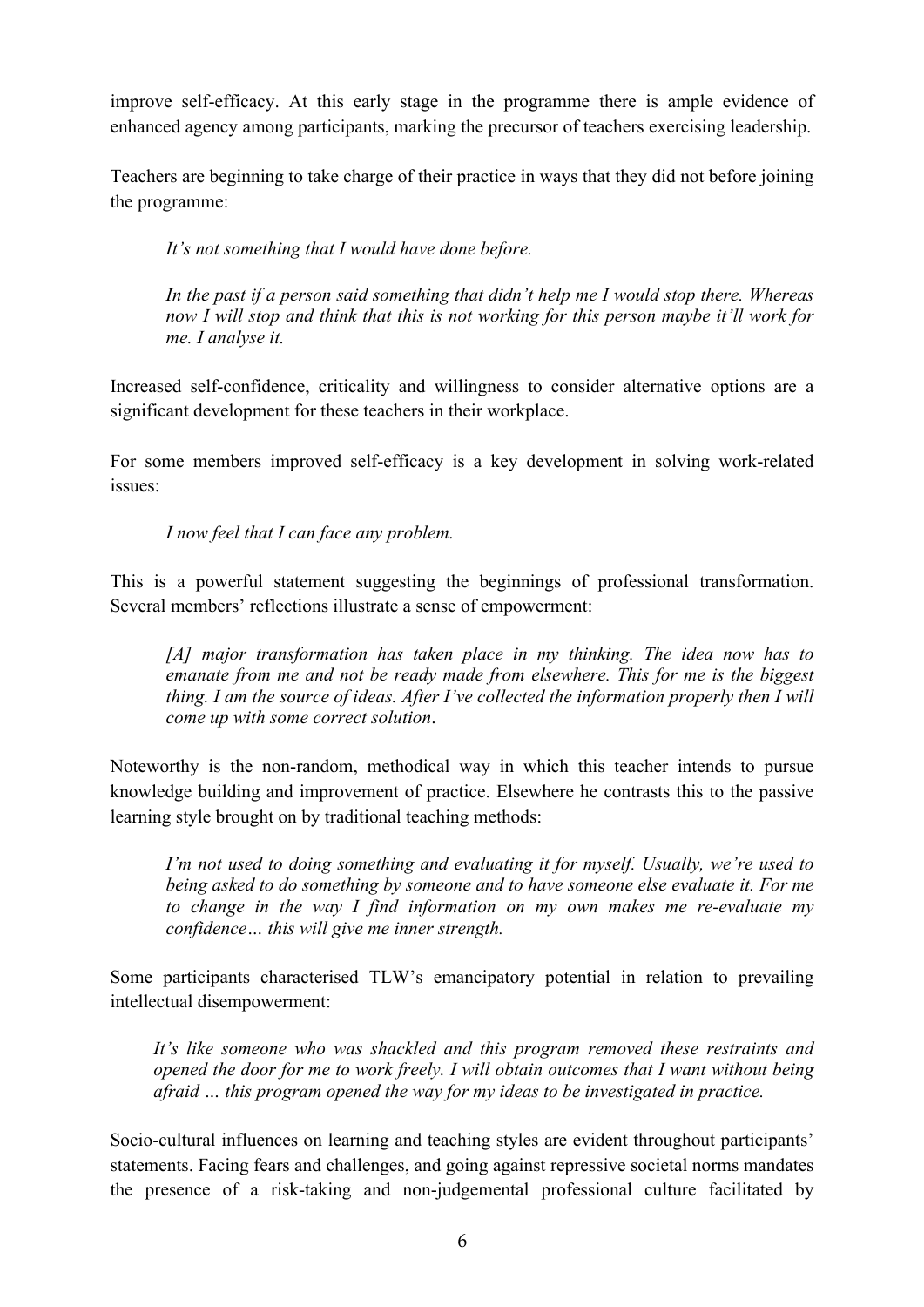improve self-efficacy. At this early stage in the programme there is ample evidence of enhanced agency among participants, marking the precursor of teachers exercising leadership.

Teachers are beginning to take charge of their practice in ways that they did not before joining the programme:

*It's not something that I would have done before.*

*In the past if a person said something that didn't help me I would stop there. Whereas now I will stop and think that this is not working for this person maybe it'll work for me. I analyse it.*

Increased self-confidence, criticality and willingness to consider alternative options are a significant development for these teachers in their workplace.

For some members improved self-efficacy is a key development in solving work-related issues:

*I now feel that I can face any problem.*

This is a powerful statement suggesting the beginnings of professional transformation. Several members' reflections illustrate a sense of empowerment:

*[A] major transformation has taken place in my thinking. The idea now has to emanate from me and not be ready made from elsewhere. This for me is the biggest thing. I am the source of ideas. After I've collected the information properly then I will come up with some correct solution*.

Noteworthy is the non-random, methodical way in which this teacher intends to pursue knowledge building and improvement of practice. Elsewhere he contrasts this to the passive learning style brought on by traditional teaching methods:

*I'm not used to doing something and evaluating it for myself. Usually, we're used to being asked to do something by someone and to have someone else evaluate it. For me to change in the way I find information on my own makes me re-evaluate my confidence… this will give me inner strength.*

Some participants characterised TLW's emancipatory potential in relation to prevailing intellectual disempowerment:

*It's like someone who was shackled and this program removed these restraints and opened the door for me to work freely. I will obtain outcomes that I want without being afraid … this program opened the way for my ideas to be investigated in practice.*

Socio-cultural influences on learning and teaching styles are evident throughout participants' statements. Facing fears and challenges, and going against repressive societal norms mandates the presence of a risk-taking and non-judgemental professional culture facilitated by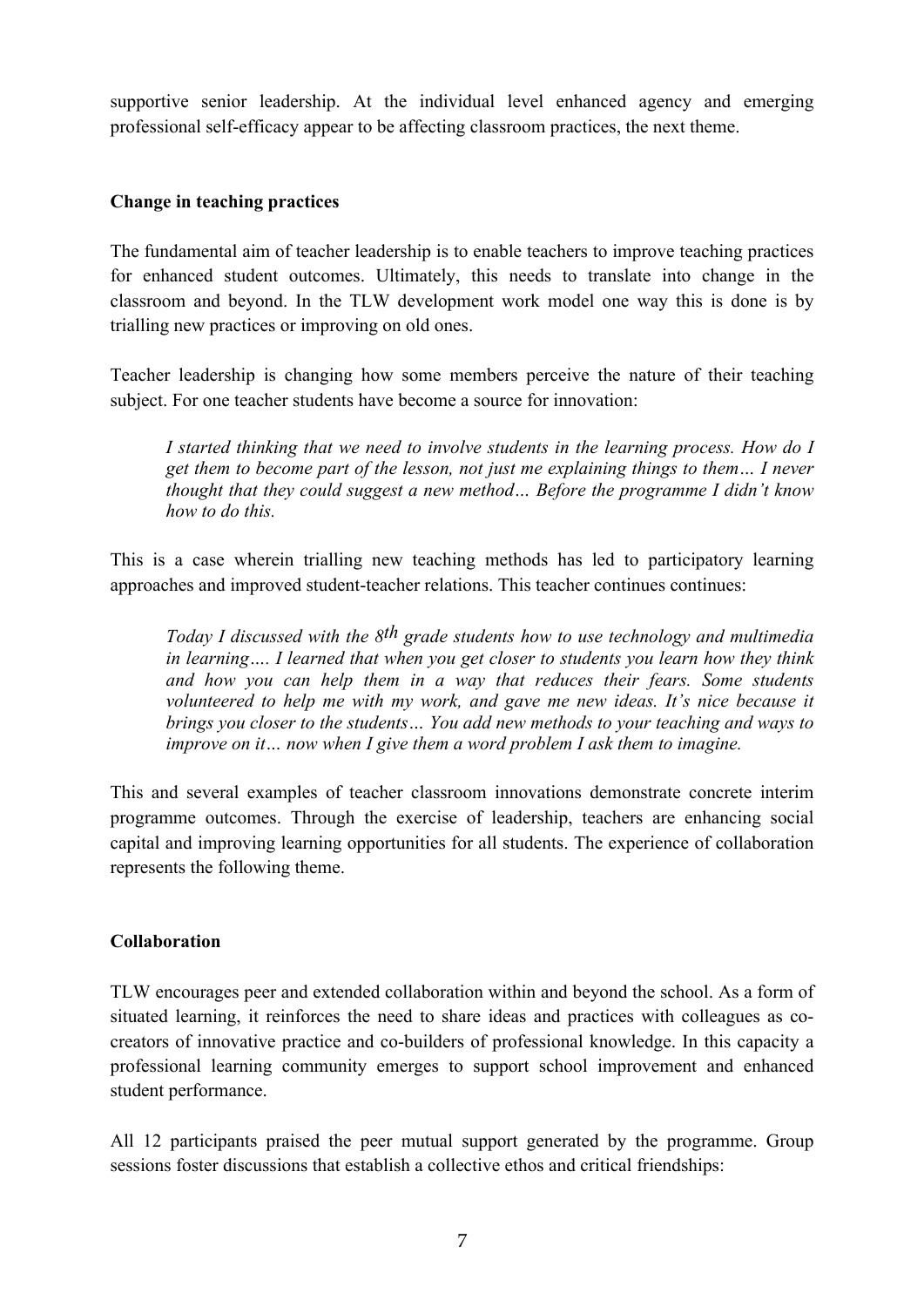supportive senior leadership. At the individual level enhanced agency and emerging professional self-efficacy appear to be affecting classroom practices, the next theme.

### **Change in teaching practices**

The fundamental aim of teacher leadership is to enable teachers to improve teaching practices for enhanced student outcomes. Ultimately, this needs to translate into change in the classroom and beyond. In the TLW development work model one way this is done is by trialling new practices or improving on old ones.

Teacher leadership is changing how some members perceive the nature of their teaching subject. For one teacher students have become a source for innovation:

*I started thinking that we need to involve students in the learning process. How do I get them to become part of the lesson, not just me explaining things to them… I never thought that they could suggest a new method… Before the programme I didn't know how to do this.*

This is a case wherein trialling new teaching methods has led to participatory learning approaches and improved student-teacher relations. This teacher continues continues:

*Today I discussed with the 8th grade students how to use technology and multimedia in learning…. I learned that when you get closer to students you learn how they think and how you can help them in a way that reduces their fears. Some students volunteered to help me with my work, and gave me new ideas. It's nice because it brings you closer to the students… You add new methods to your teaching and ways to improve on it… now when I give them a word problem I ask them to imagine.*

This and several examples of teacher classroom innovations demonstrate concrete interim programme outcomes. Through the exercise of leadership, teachers are enhancing social capital and improving learning opportunities for all students. The experience of collaboration represents the following theme.

### **Collaboration**

TLW encourages peer and extended collaboration within and beyond the school. As a form of situated learning, it reinforces the need to share ideas and practices with colleagues as cocreators of innovative practice and co-builders of professional knowledge. In this capacity a professional learning community emerges to support school improvement and enhanced student performance.

All 12 participants praised the peer mutual support generated by the programme. Group sessions foster discussions that establish a collective ethos and critical friendships: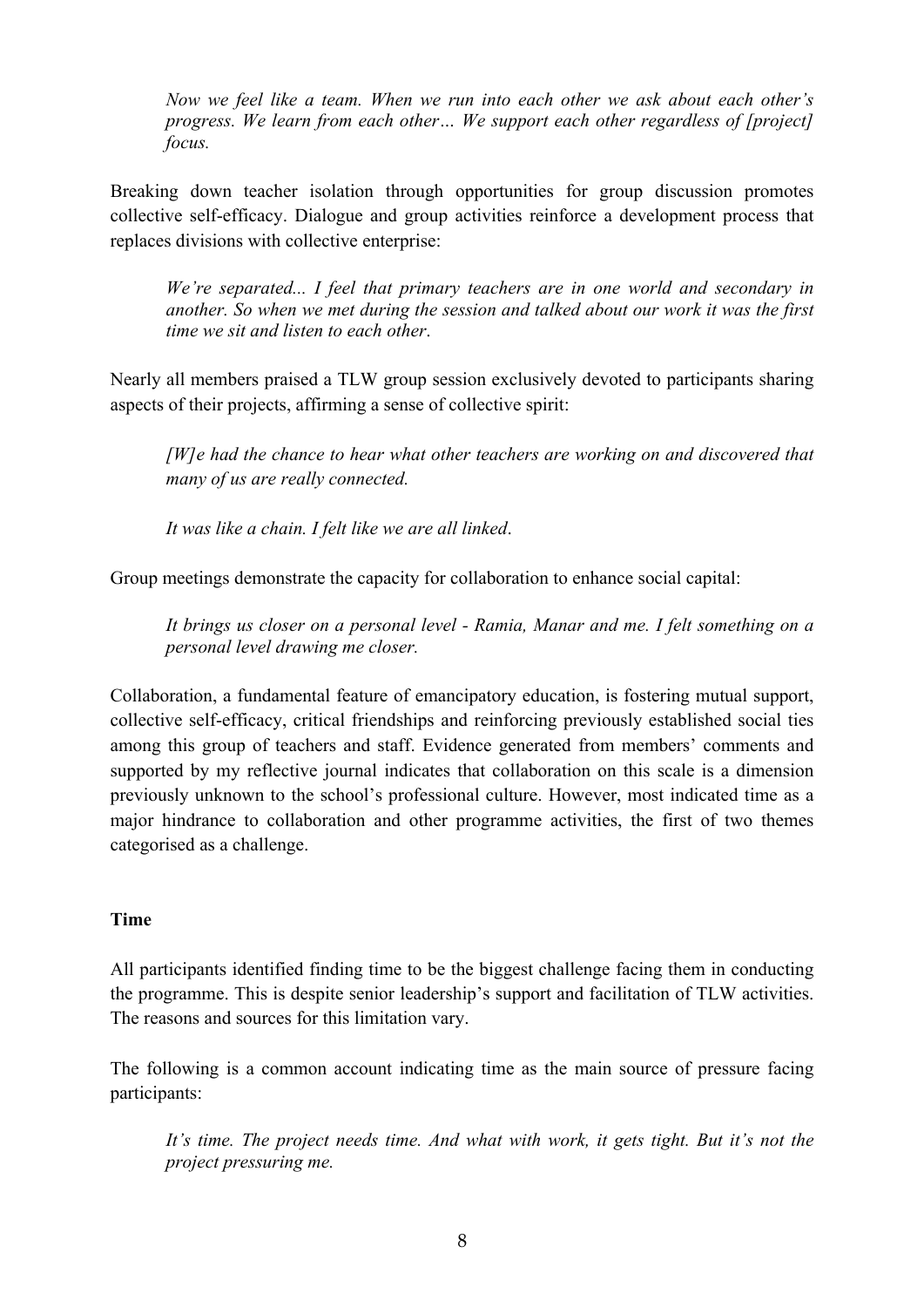*Now we feel like a team. When we run into each other we ask about each other's progress. We learn from each other… We support each other regardless of [project] focus.*

Breaking down teacher isolation through opportunities for group discussion promotes collective self-efficacy. Dialogue and group activities reinforce a development process that replaces divisions with collective enterprise:

*We're separated... I feel that primary teachers are in one world and secondary in another. So when we met during the session and talked about our work it was the first time we sit and listen to each other*.

Nearly all members praised a TLW group session exclusively devoted to participants sharing aspects of their projects, affirming a sense of collective spirit:

*[W]e had the chance to hear what other teachers are working on and discovered that many of us are really connected.*

*It was like a chain. I felt like we are all linked*.

Group meetings demonstrate the capacity for collaboration to enhance social capital:

*It brings us closer on a personal level - Ramia, Manar and me. I felt something on a personal level drawing me closer.*

Collaboration, a fundamental feature of emancipatory education, is fostering mutual support, collective self-efficacy, critical friendships and reinforcing previously established social ties among this group of teachers and staff. Evidence generated from members' comments and supported by my reflective journal indicates that collaboration on this scale is a dimension previously unknown to the school's professional culture. However, most indicated time as a major hindrance to collaboration and other programme activities, the first of two themes categorised as a challenge.

### **Time**

All participants identified finding time to be the biggest challenge facing them in conducting the programme. This is despite senior leadership's support and facilitation of TLW activities. The reasons and sources for this limitation vary.

The following is a common account indicating time as the main source of pressure facing participants:

*It's time. The project needs time. And what with work, it gets tight. But it's not the project pressuring me.*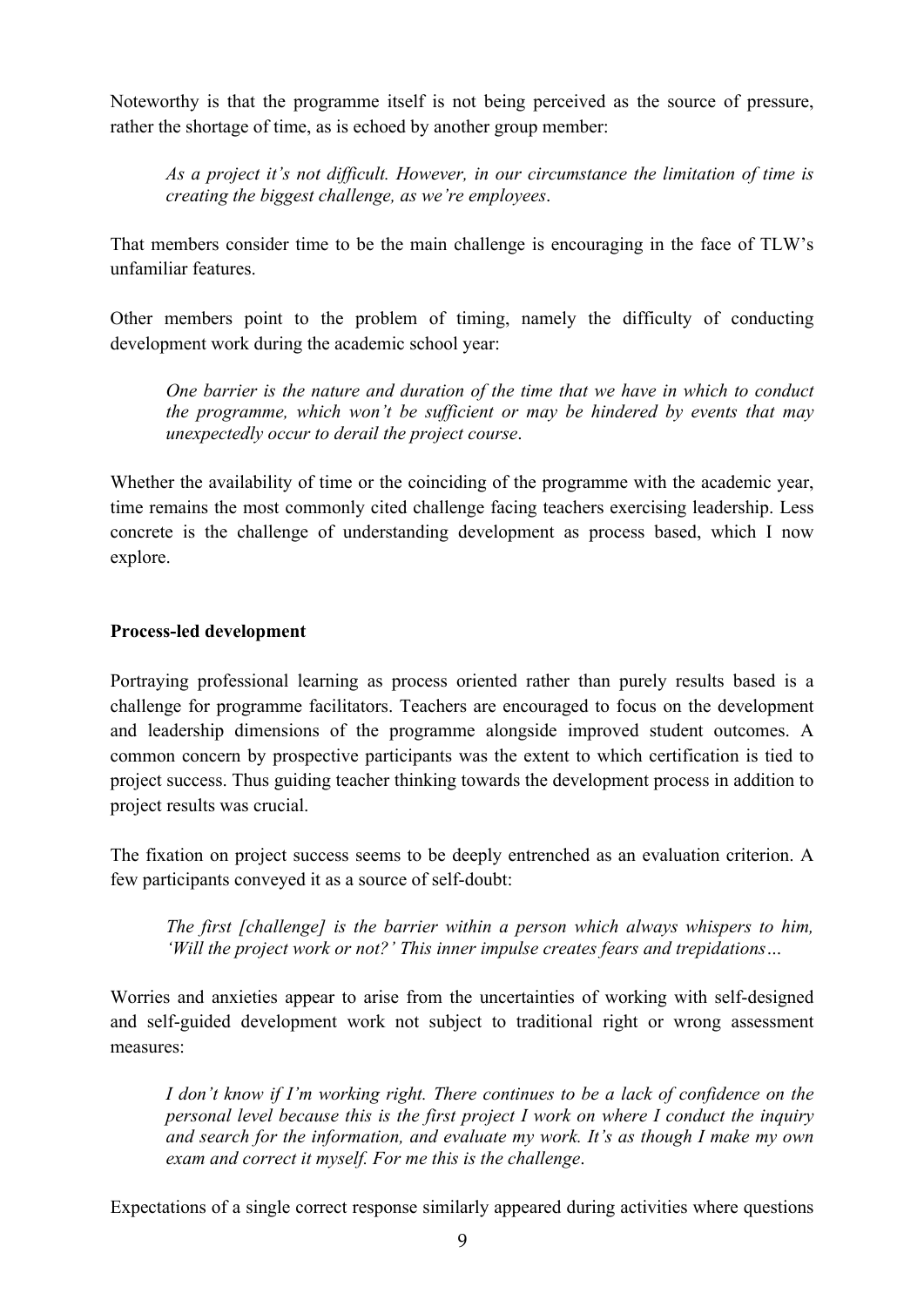Noteworthy is that the programme itself is not being perceived as the source of pressure, rather the shortage of time, as is echoed by another group member:

*As a project it's not difficult. However, in our circumstance the limitation of time is creating the biggest challenge, as we're employees*.

That members consider time to be the main challenge is encouraging in the face of TLW's unfamiliar features.

Other members point to the problem of timing, namely the difficulty of conducting development work during the academic school year:

*One barrier is the nature and duration of the time that we have in which to conduct the programme, which won't be sufficient or may be hindered by events that may unexpectedly occur to derail the project course*.

Whether the availability of time or the coinciding of the programme with the academic year, time remains the most commonly cited challenge facing teachers exercising leadership. Less concrete is the challenge of understanding development as process based, which I now explore.

### **Process-led development**

Portraying professional learning as process oriented rather than purely results based is a challenge for programme facilitators. Teachers are encouraged to focus on the development and leadership dimensions of the programme alongside improved student outcomes. A common concern by prospective participants was the extent to which certification is tied to project success. Thus guiding teacher thinking towards the development process in addition to project results was crucial.

The fixation on project success seems to be deeply entrenched as an evaluation criterion. A few participants conveyed it as a source of self-doubt:

*The first [challenge] is the barrier within a person which always whispers to him, 'Will the project work or not?' This inner impulse creates fears and trepidations…* 

Worries and anxieties appear to arise from the uncertainties of working with self-designed and self-guided development work not subject to traditional right or wrong assessment measures:

*I don't know if I'm working right. There continues to be a lack of confidence on the personal level because this is the first project I work on where I conduct the inquiry and search for the information, and evaluate my work. It's as though I make my own exam and correct it myself. For me this is the challenge*.

Expectations of a single correct response similarly appeared during activities where questions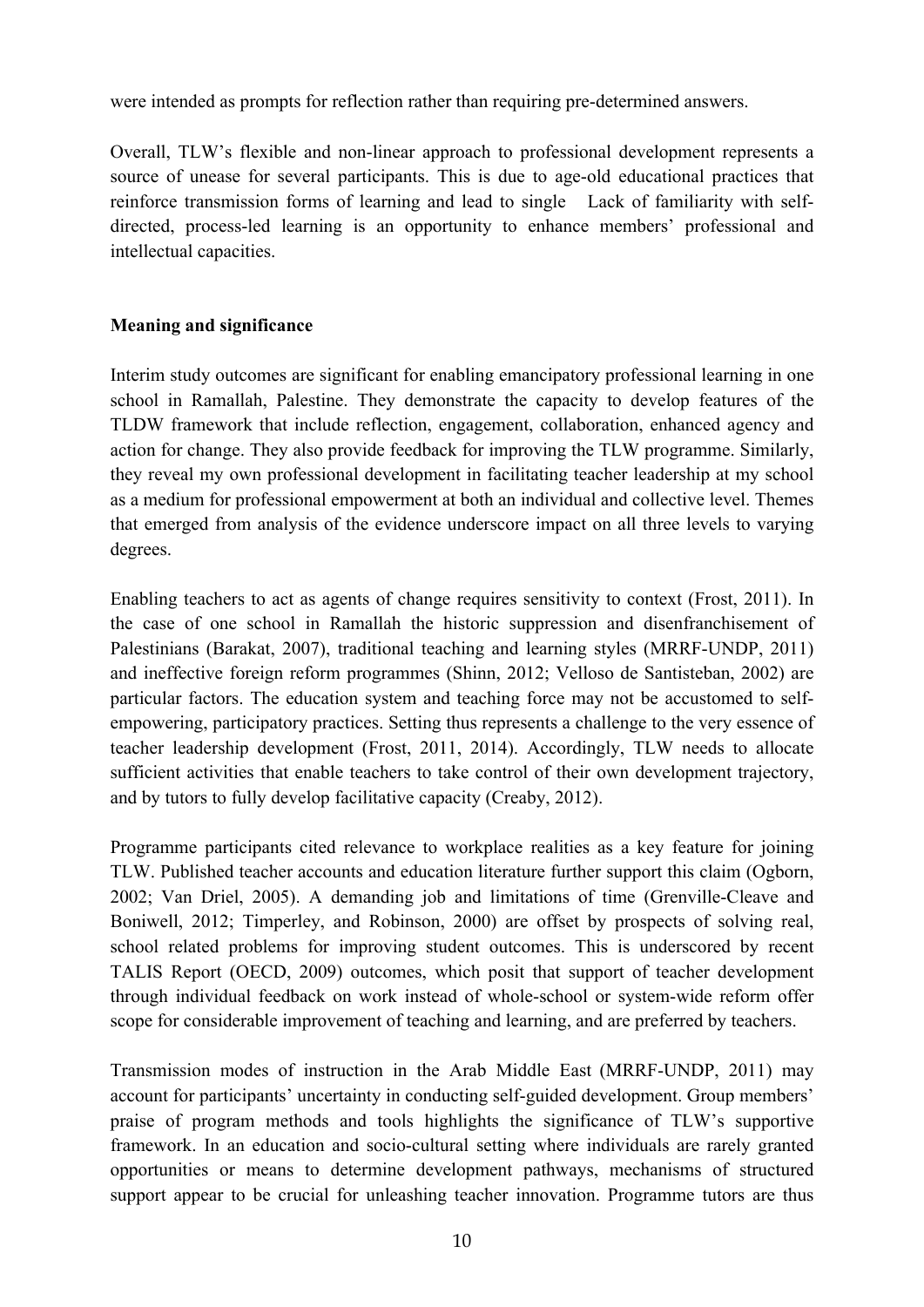were intended as prompts for reflection rather than requiring pre-determined answers.

Overall, TLW's flexible and non-linear approach to professional development represents a source of unease for several participants. This is due to age-old educational practices that reinforce transmission forms of learning and lead to single Lack of familiarity with selfdirected, process-led learning is an opportunity to enhance members' professional and intellectual capacities.

## **Meaning and significance**

Interim study outcomes are significant for enabling emancipatory professional learning in one school in Ramallah, Palestine. They demonstrate the capacity to develop features of the TLDW framework that include reflection, engagement, collaboration, enhanced agency and action for change. They also provide feedback for improving the TLW programme. Similarly, they reveal my own professional development in facilitating teacher leadership at my school as a medium for professional empowerment at both an individual and collective level. Themes that emerged from analysis of the evidence underscore impact on all three levels to varying degrees.

Enabling teachers to act as agents of change requires sensitivity to context (Frost, 2011). In the case of one school in Ramallah the historic suppression and disenfranchisement of Palestinians (Barakat, 2007), traditional teaching and learning styles (MRRF-UNDP, 2011) and ineffective foreign reform programmes (Shinn, 2012; Velloso de Santisteban, 2002) are particular factors. The education system and teaching force may not be accustomed to selfempowering, participatory practices. Setting thus represents a challenge to the very essence of teacher leadership development (Frost, 2011, 2014). Accordingly, TLW needs to allocate sufficient activities that enable teachers to take control of their own development trajectory, and by tutors to fully develop facilitative capacity (Creaby, 2012).

Programme participants cited relevance to workplace realities as a key feature for joining TLW. Published teacher accounts and education literature further support this claim (Ogborn, 2002; Van Driel, 2005). A demanding job and limitations of time (Grenville-Cleave and Boniwell, 2012; Timperley, and Robinson, 2000) are offset by prospects of solving real, school related problems for improving student outcomes. This is underscored by recent TALIS Report (OECD, 2009) outcomes, which posit that support of teacher development through individual feedback on work instead of whole-school or system-wide reform offer scope for considerable improvement of teaching and learning, and are preferred by teachers.

Transmission modes of instruction in the Arab Middle East (MRRF-UNDP, 2011) may account for participants' uncertainty in conducting self-guided development. Group members' praise of program methods and tools highlights the significance of TLW's supportive framework. In an education and socio-cultural setting where individuals are rarely granted opportunities or means to determine development pathways, mechanisms of structured support appear to be crucial for unleashing teacher innovation. Programme tutors are thus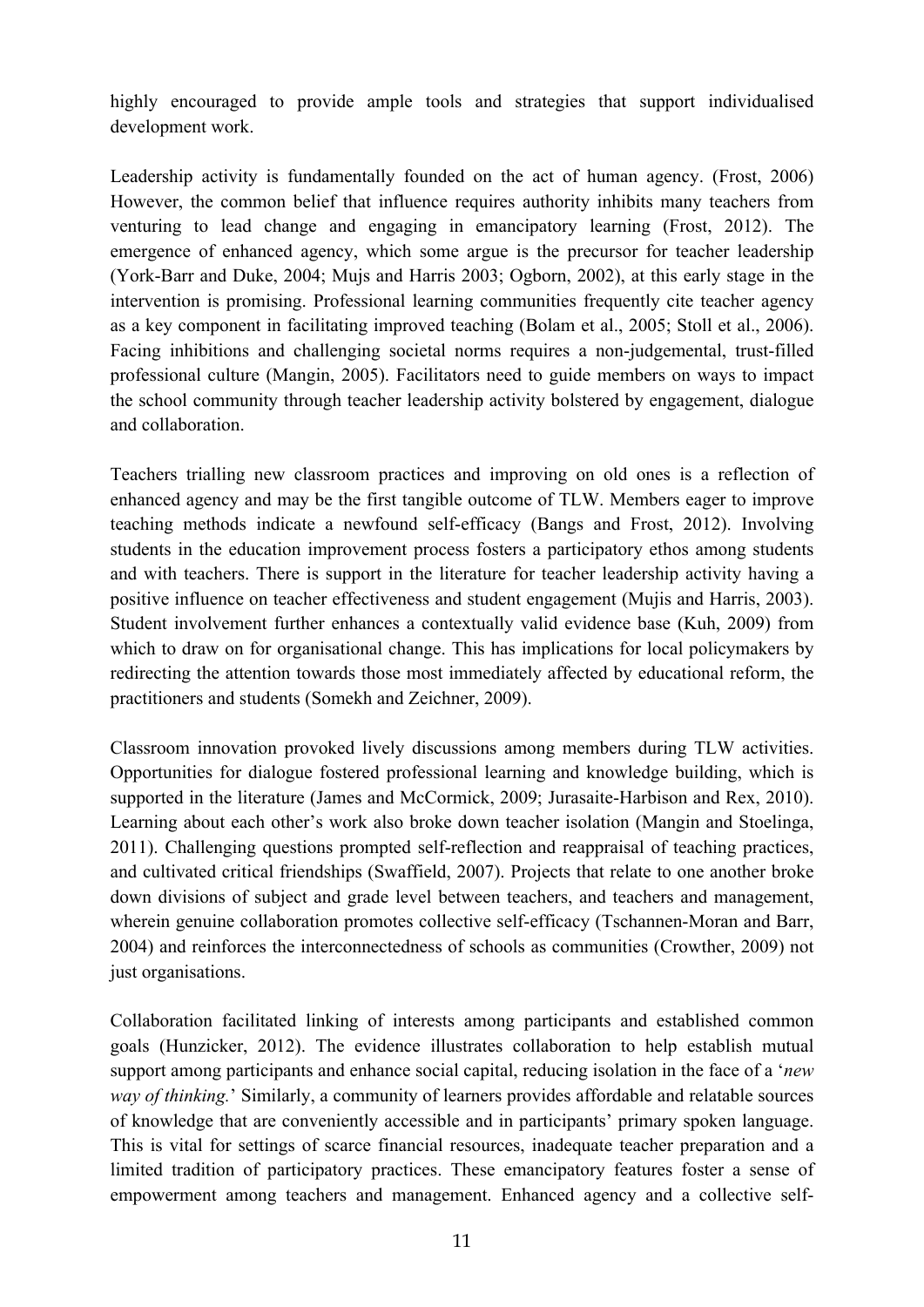highly encouraged to provide ample tools and strategies that support individualised development work.

Leadership activity is fundamentally founded on the act of human agency. (Frost, 2006) However, the common belief that influence requires authority inhibits many teachers from venturing to lead change and engaging in emancipatory learning (Frost, 2012). The emergence of enhanced agency, which some argue is the precursor for teacher leadership (York-Barr and Duke, 2004; Mujs and Harris 2003; Ogborn, 2002), at this early stage in the intervention is promising. Professional learning communities frequently cite teacher agency as a key component in facilitating improved teaching (Bolam et al., 2005; Stoll et al., 2006). Facing inhibitions and challenging societal norms requires a non-judgemental, trust-filled professional culture (Mangin, 2005). Facilitators need to guide members on ways to impact the school community through teacher leadership activity bolstered by engagement, dialogue and collaboration.

Teachers trialling new classroom practices and improving on old ones is a reflection of enhanced agency and may be the first tangible outcome of TLW. Members eager to improve teaching methods indicate a newfound self-efficacy (Bangs and Frost, 2012). Involving students in the education improvement process fosters a participatory ethos among students and with teachers. There is support in the literature for teacher leadership activity having a positive influence on teacher effectiveness and student engagement (Mujis and Harris, 2003). Student involvement further enhances a contextually valid evidence base (Kuh, 2009) from which to draw on for organisational change. This has implications for local policymakers by redirecting the attention towards those most immediately affected by educational reform, the practitioners and students (Somekh and Zeichner, 2009).

Classroom innovation provoked lively discussions among members during TLW activities. Opportunities for dialogue fostered professional learning and knowledge building, which is supported in the literature (James and McCormick, 2009; Jurasaite-Harbison and Rex, 2010). Learning about each other's work also broke down teacher isolation (Mangin and Stoelinga, 2011). Challenging questions prompted self-reflection and reappraisal of teaching practices, and cultivated critical friendships (Swaffield, 2007). Projects that relate to one another broke down divisions of subject and grade level between teachers, and teachers and management, wherein genuine collaboration promotes collective self-efficacy (Tschannen-Moran and Barr, 2004) and reinforces the interconnectedness of schools as communities (Crowther, 2009) not just organisations.

Collaboration facilitated linking of interests among participants and established common goals (Hunzicker, 2012). The evidence illustrates collaboration to help establish mutual support among participants and enhance social capital, reducing isolation in the face of a '*new way of thinking.*' Similarly, a community of learners provides affordable and relatable sources of knowledge that are conveniently accessible and in participants' primary spoken language. This is vital for settings of scarce financial resources, inadequate teacher preparation and a limited tradition of participatory practices. These emancipatory features foster a sense of empowerment among teachers and management. Enhanced agency and a collective self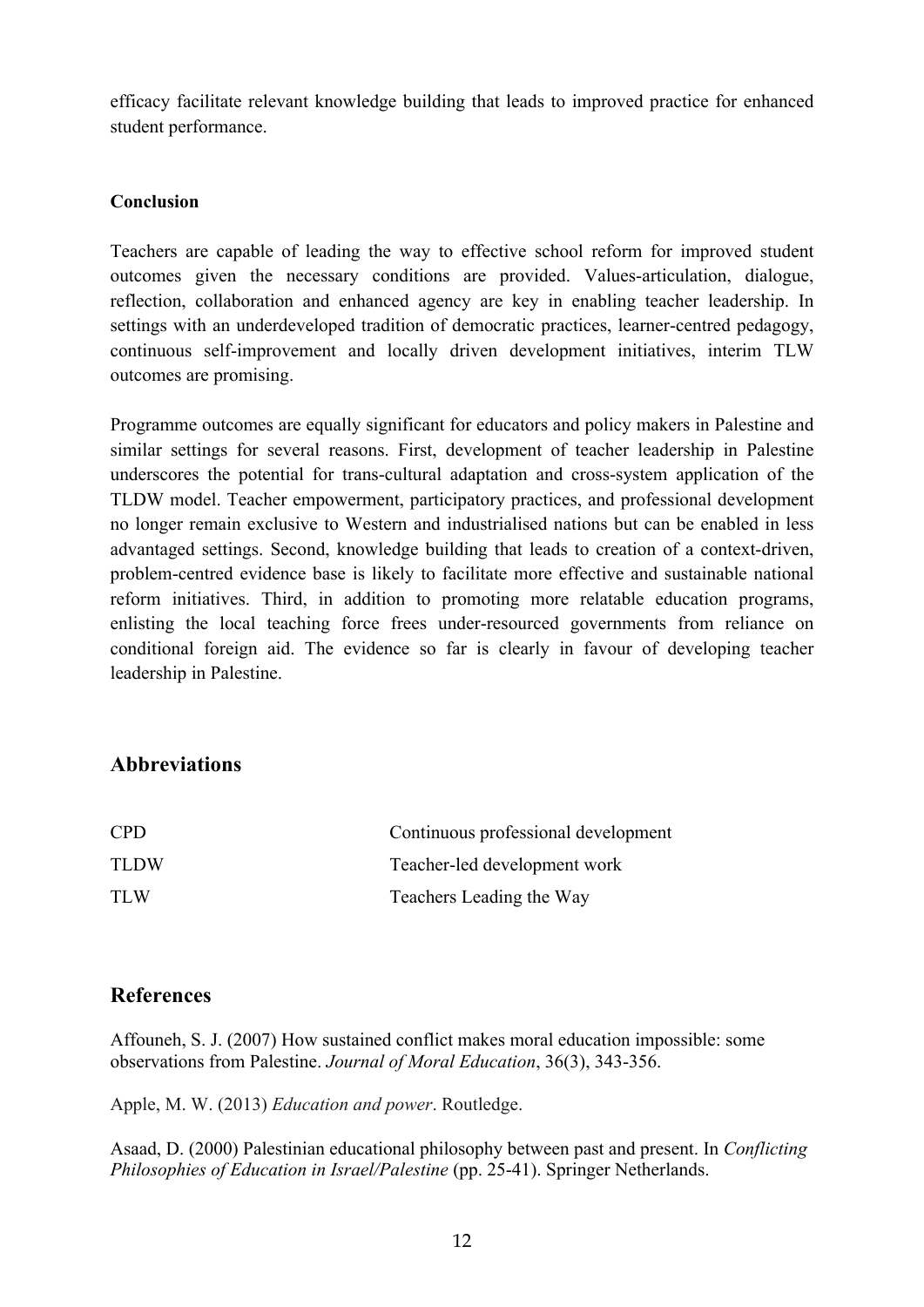efficacy facilitate relevant knowledge building that leads to improved practice for enhanced student performance.

### **Conclusion**

Teachers are capable of leading the way to effective school reform for improved student outcomes given the necessary conditions are provided. Values-articulation, dialogue, reflection, collaboration and enhanced agency are key in enabling teacher leadership. In settings with an underdeveloped tradition of democratic practices, learner-centred pedagogy, continuous self-improvement and locally driven development initiatives, interim TLW outcomes are promising.

Programme outcomes are equally significant for educators and policy makers in Palestine and similar settings for several reasons. First, development of teacher leadership in Palestine underscores the potential for trans-cultural adaptation and cross-system application of the TLDW model. Teacher empowerment, participatory practices, and professional development no longer remain exclusive to Western and industrialised nations but can be enabled in less advantaged settings. Second, knowledge building that leads to creation of a context-driven, problem-centred evidence base is likely to facilitate more effective and sustainable national reform initiatives. Third, in addition to promoting more relatable education programs, enlisting the local teaching force frees under-resourced governments from reliance on conditional foreign aid. The evidence so far is clearly in favour of developing teacher leadership in Palestine.

# **Abbreviations**

| <b>CPD</b>  | Continuous professional development |
|-------------|-------------------------------------|
| <b>TLDW</b> | Teacher-led development work        |
| <b>TLW</b>  | Teachers Leading the Way            |

## **References**

Affouneh, S. J. (2007) How sustained conflict makes moral education impossible: some observations from Palestine. *Journal of Moral Education*, 36(3), 343-356.

Apple, M. W. (2013) *Education and power*. Routledge.

Asaad, D. (2000) Palestinian educational philosophy between past and present. In *Conflicting Philosophies of Education in Israel/Palestine* (pp. 25-41). Springer Netherlands.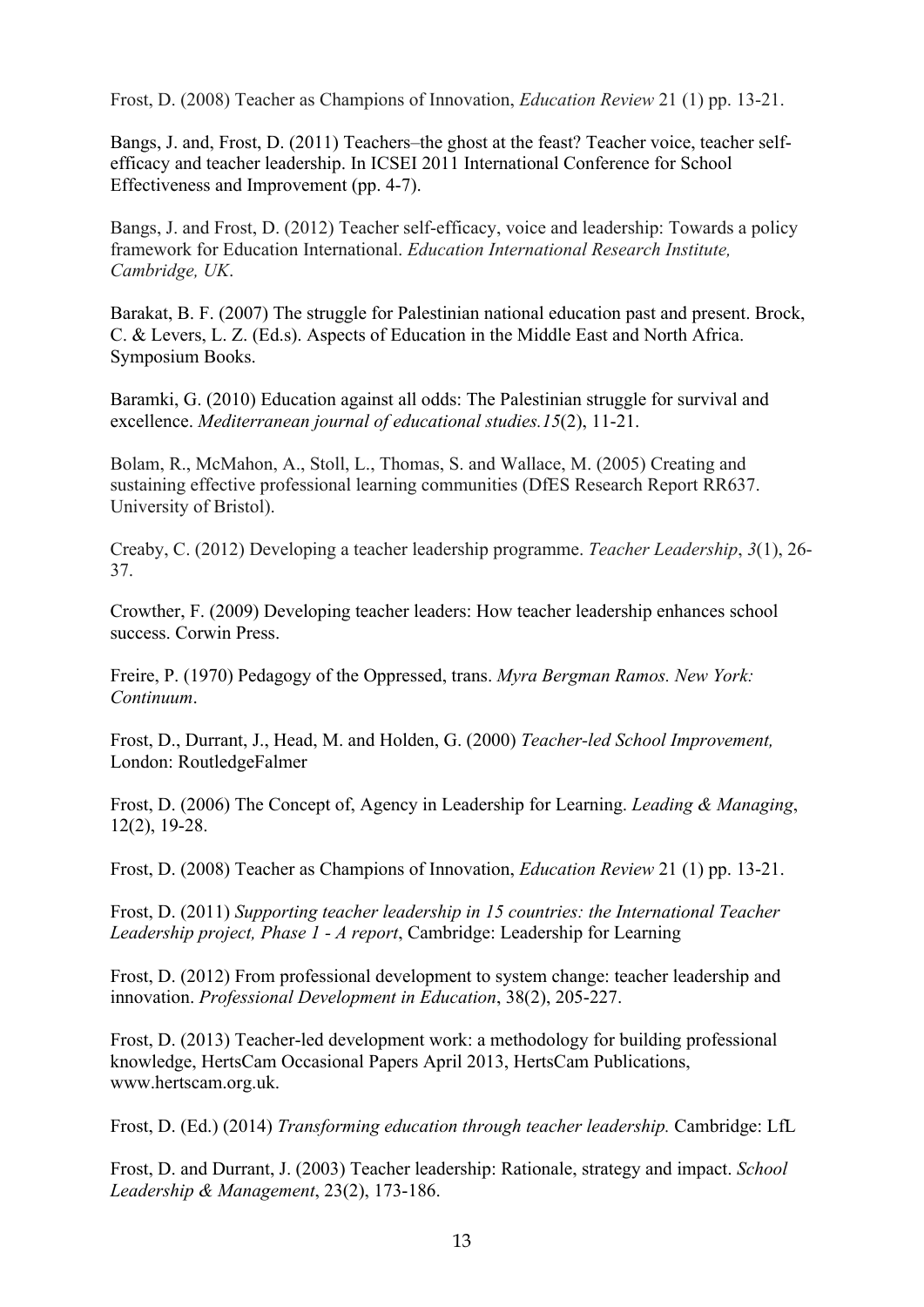Frost, D. (2008) Teacher as Champions of Innovation, *Education Review* 21 (1) pp. 13-21.

Bangs, J. and, Frost, D. (2011) Teachers–the ghost at the feast? Teacher voice, teacher selfefficacy and teacher leadership. In ICSEI 2011 International Conference for School Effectiveness and Improvement (pp. 4-7).

Bangs, J. and Frost, D. (2012) Teacher self-efficacy, voice and leadership: Towards a policy framework for Education International. *Education International Research Institute, Cambridge, UK*.

Barakat, B. F. (2007) The struggle for Palestinian national education past and present. Brock, C. & Levers, L. Z. (Ed.s). Aspects of Education in the Middle East and North Africa. Symposium Books.

Baramki, G. (2010) Education against all odds: The Palestinian struggle for survival and excellence. *Mediterranean journal of educational studies.15*(2), 11-21.

Bolam, R., McMahon, A., Stoll, L., Thomas, S. and Wallace, M. (2005) Creating and sustaining effective professional learning communities (DfES Research Report RR637. University of Bristol).

Creaby, C. (2012) Developing a teacher leadership programme. *Teacher Leadership*, *3*(1), 26- 37.

Crowther, F. (2009) Developing teacher leaders: How teacher leadership enhances school success. Corwin Press.

Freire, P. (1970) Pedagogy of the Oppressed, trans. *Myra Bergman Ramos. New York: Continuum*.

Frost, D., Durrant, J., Head, M. and Holden, G. (2000) *Teacher-led School Improvement,* London: RoutledgeFalmer

Frost, D. (2006) The Concept of, Agency in Leadership for Learning. *Leading & Managing*, 12(2), 19-28.

Frost, D. (2008) Teacher as Champions of Innovation, *Education Review* 21 (1) pp. 13-21.

Frost, D. (2011) *Supporting teacher leadership in 15 countries: the International Teacher Leadership project, Phase 1 - A report*, Cambridge: Leadership for Learning

Frost, D. (2012) From professional development to system change: teacher leadership and innovation. *Professional Development in Education*, 38(2), 205-227.

Frost, D. (2013) Teacher-led development work: a methodology for building professional knowledge, HertsCam Occasional Papers April 2013, HertsCam Publications, www.hertscam.org.uk.

Frost, D. (Ed.) (2014) *Transforming education through teacher leadership.* Cambridge: LfL

Frost, D. and Durrant, J. (2003) Teacher leadership: Rationale, strategy and impact. *School Leadership & Management*, 23(2), 173-186.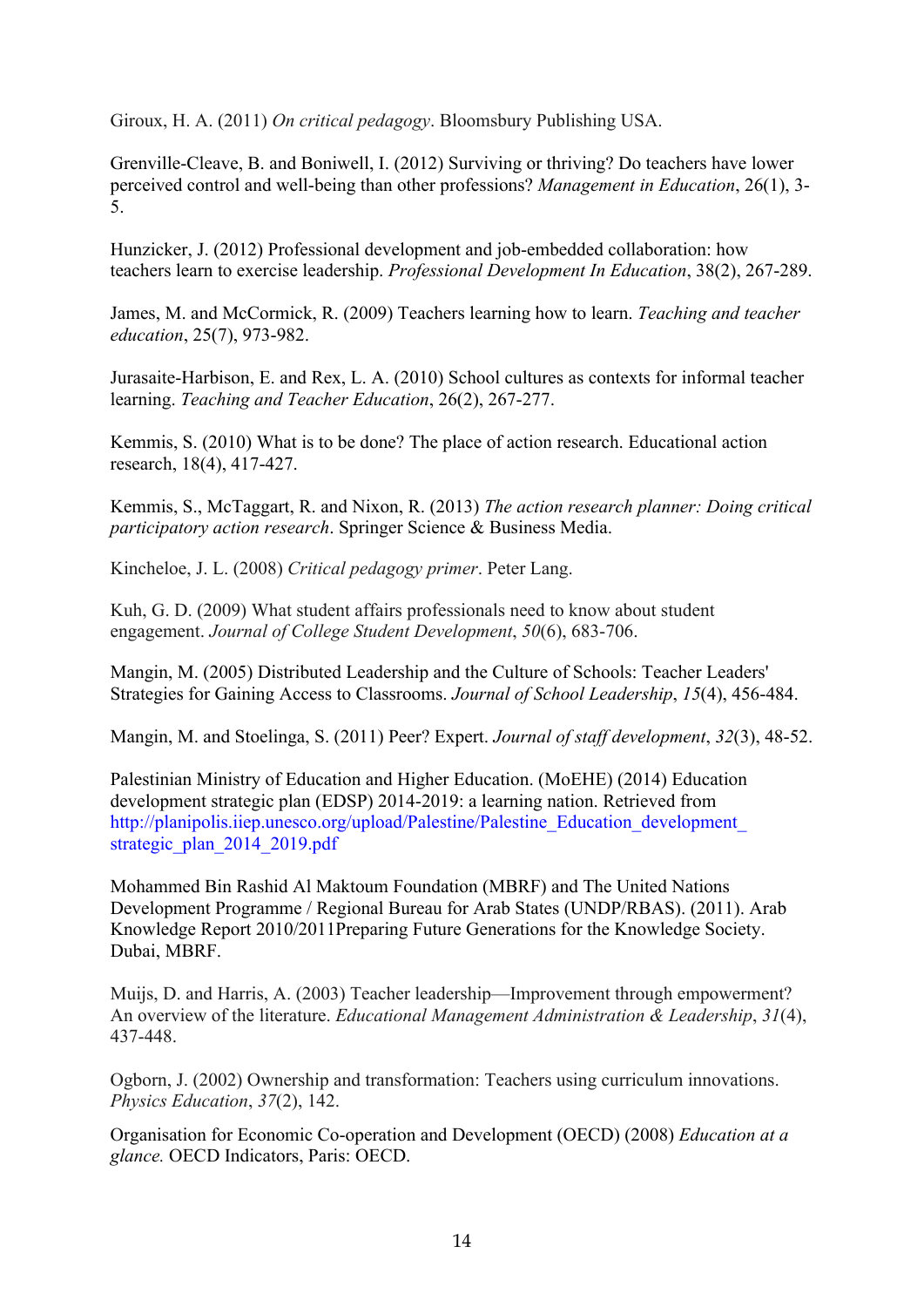Giroux, H. A. (2011) *On critical pedagogy*. Bloomsbury Publishing USA.

Grenville-Cleave, B. and Boniwell, I. (2012) Surviving or thriving? Do teachers have lower perceived control and well-being than other professions? *Management in Education*, 26(1), 3- 5.

Hunzicker, J. (2012) Professional development and job-embedded collaboration: how teachers learn to exercise leadership. *Professional Development In Education*, 38(2), 267-289.

James, M. and McCormick, R. (2009) Teachers learning how to learn. *Teaching and teacher education*, 25(7), 973-982.

Jurasaite-Harbison, E. and Rex, L. A. (2010) School cultures as contexts for informal teacher learning. *Teaching and Teacher Education*, 26(2), 267-277.

Kemmis, S. (2010) What is to be done? The place of action research. Educational action research, 18(4), 417-427.

Kemmis, S., McTaggart, R. and Nixon, R. (2013) *The action research planner: Doing critical participatory action research*. Springer Science & Business Media.

Kincheloe, J. L. (2008) *Critical pedagogy primer*. Peter Lang.

Kuh, G. D. (2009) What student affairs professionals need to know about student engagement. *Journal of College Student Development*, *50*(6), 683-706.

Mangin, M. (2005) Distributed Leadership and the Culture of Schools: Teacher Leaders' Strategies for Gaining Access to Classrooms. *Journal of School Leadership*, *15*(4), 456-484.

Mangin, M. and Stoelinga, S. (2011) Peer? Expert. *Journal of staff development*, *32*(3), 48-52.

Palestinian Ministry of Education and Higher Education. (MoEHE) (2014) Education development strategic plan (EDSP) 2014-2019: a learning nation. Retrieved from http://planipolis.iiep.unesco.org/upload/Palestine/Palestine\_Education\_development strategic\_plan\_2014\_2019.pdf

Mohammed Bin Rashid Al Maktoum Foundation (MBRF) and The United Nations Development Programme / Regional Bureau for Arab States (UNDP/RBAS). (2011). Arab Knowledge Report 2010/2011Preparing Future Generations for the Knowledge Society. Dubai, MBRF.

Muijs, D. and Harris, A. (2003) Teacher leadership—Improvement through empowerment? An overview of the literature. *Educational Management Administration & Leadership*, *31*(4), 437-448.

Ogborn, J. (2002) Ownership and transformation: Teachers using curriculum innovations. *Physics Education*, *37*(2), 142.

Organisation for Economic Co-operation and Development (OECD) (2008) *Education at a glance.* OECD Indicators, Paris: OECD.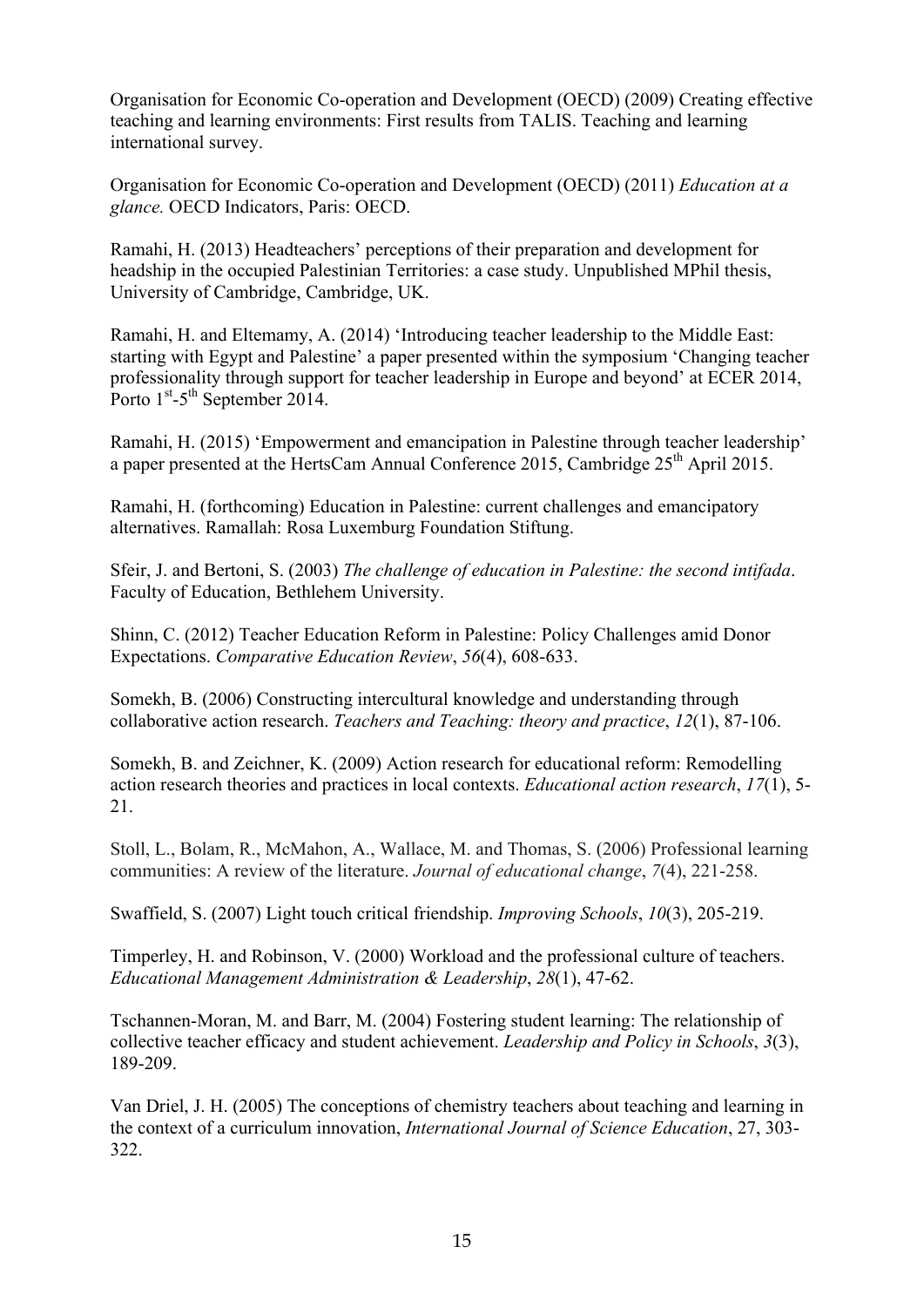Organisation for Economic Co-operation and Development (OECD) (2009) Creating effective teaching and learning environments: First results from TALIS. Teaching and learning international survey.

Organisation for Economic Co-operation and Development (OECD) (2011) *Education at a glance.* OECD Indicators, Paris: OECD.

Ramahi, H. (2013) Headteachers' perceptions of their preparation and development for headship in the occupied Palestinian Territories: a case study. Unpublished MPhil thesis, University of Cambridge, Cambridge, UK.

Ramahi, H. and Eltemamy, A. (2014) 'Introducing teacher leadership to the Middle East: starting with Egypt and Palestine' a paper presented within the symposium 'Changing teacher professionality through support for teacher leadership in Europe and beyond' at ECER 2014, Porto 1<sup>st</sup>-5<sup>th</sup> September 2014.

Ramahi, H. (2015) 'Empowerment and emancipation in Palestine through teacher leadership' a paper presented at the HertsCam Annual Conference 2015, Cambridge 25<sup>th</sup> April 2015.

Ramahi, H. (forthcoming) Education in Palestine: current challenges and emancipatory alternatives. Ramallah: Rosa Luxemburg Foundation Stiftung.

Sfeir, J. and Bertoni, S. (2003) *The challenge of education in Palestine: the second intifada*. Faculty of Education, Bethlehem University.

Shinn, C. (2012) Teacher Education Reform in Palestine: Policy Challenges amid Donor Expectations. *Comparative Education Review*, *56*(4), 608-633.

Somekh, B. (2006) Constructing intercultural knowledge and understanding through collaborative action research. *Teachers and Teaching: theory and practice*, *12*(1), 87-106.

Somekh, B. and Zeichner, K. (2009) Action research for educational reform: Remodelling action research theories and practices in local contexts. *Educational action research*, *17*(1), 5- 21.

Stoll, L., Bolam, R., McMahon, A., Wallace, M. and Thomas, S. (2006) Professional learning communities: A review of the literature. *Journal of educational change*, *7*(4), 221-258.

Swaffield, S. (2007) Light touch critical friendship. *Improving Schools*, *10*(3), 205-219.

Timperley, H. and Robinson, V. (2000) Workload and the professional culture of teachers. *Educational Management Administration & Leadership*, *28*(1), 47-62.

Tschannen-Moran, M. and Barr, M. (2004) Fostering student learning: The relationship of collective teacher efficacy and student achievement. *Leadership and Policy in Schools*, *3*(3), 189-209.

Van Driel, J. H. (2005) The conceptions of chemistry teachers about teaching and learning in the context of a curriculum innovation, *International Journal of Science Education*, 27, 303- 322.